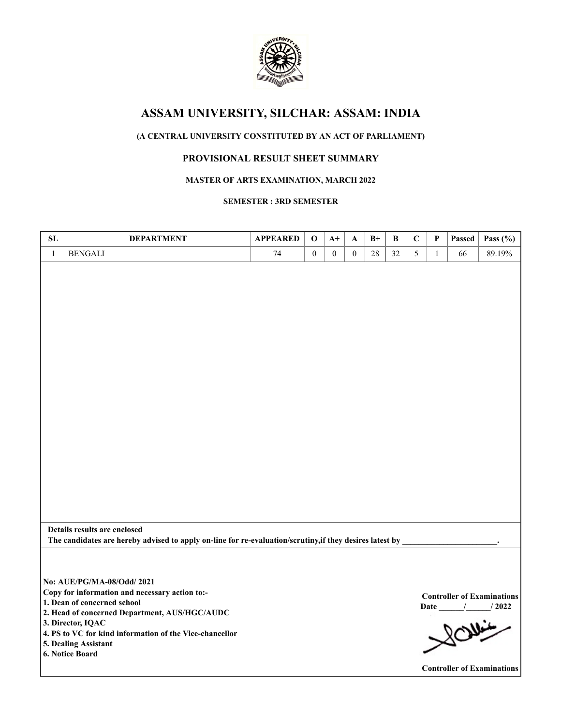

## **(A CENTRAL UNIVERSITY CONSTITUTED BY AN ACT OF PARLIAMENT)**

## **PROVISIONAL RESULT SHEET SUMMARY**

### **MASTER OF ARTS EXAMINATION, MARCH 2022**

### **SEMESTER : 3RD SEMESTER**

| SL           | <b>DEPARTMENT</b>                                                                                                                                                                                                                                                                       | <b>APPEARED</b> | $\mathbf 0$      | $A+$             | A                | $B+$   | B  | $\mathbf C$ | P            | Passed | Pass $(\% )$                                                                                  |
|--------------|-----------------------------------------------------------------------------------------------------------------------------------------------------------------------------------------------------------------------------------------------------------------------------------------|-----------------|------------------|------------------|------------------|--------|----|-------------|--------------|--------|-----------------------------------------------------------------------------------------------|
| $\mathbf{1}$ | <b>BENGALI</b>                                                                                                                                                                                                                                                                          | 74              | $\boldsymbol{0}$ | $\boldsymbol{0}$ | $\boldsymbol{0}$ | $28\,$ | 32 | 5           | $\mathbf{1}$ | 66     | 89.19%                                                                                        |
|              |                                                                                                                                                                                                                                                                                         |                 |                  |                  |                  |        |    |             |              |        |                                                                                               |
|              | Details results are enclosed<br>The candidates are hereby advised to apply on-line for re-evaluation/scrutiny, if they desires latest by                                                                                                                                                |                 |                  |                  |                  |        |    |             |              |        |                                                                                               |
|              | No: AUE/PG/MA-08/Odd/ 2021<br>Copy for information and necessary action to:-<br>1. Dean of concerned school<br>2. Head of concerned Department, AUS/HGC/AUDC<br>3. Director, IQAC<br>4. PS to VC for kind information of the Vice-chancellor<br>5. Dealing Assistant<br>6. Notice Board |                 |                  |                  |                  |        |    |             |              |        | <b>Controller of Examinations</b><br>Date / / 2022<br>20<br><b>Controller of Examinations</b> |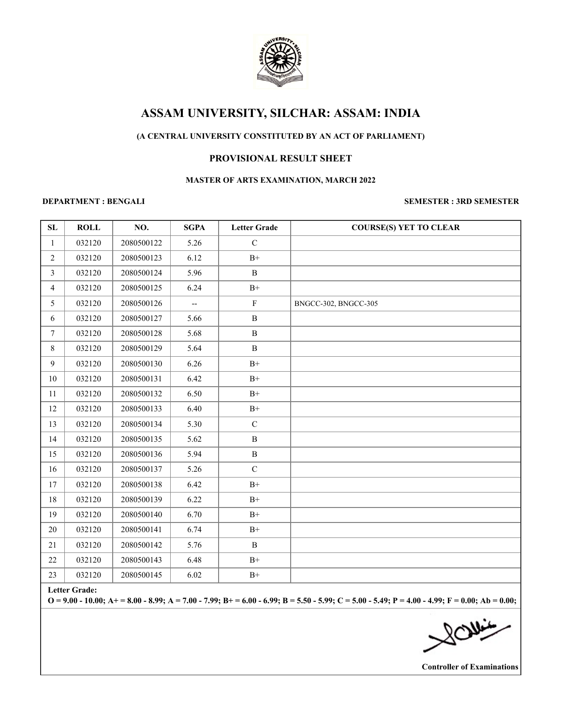

## **(A CENTRAL UNIVERSITY CONSTITUTED BY AN ACT OF PARLIAMENT)**

## **PROVISIONAL RESULT SHEET**

### **MASTER OF ARTS EXAMINATION, MARCH 2022**

### **DEPARTMENT : BENGALI SEMESTER : 3RD SEMESTER**

| ${\bf SL}$      | <b>ROLL</b> | NO.        | <b>SGPA</b>              | <b>Letter Grade</b> | <b>COURSE(S) YET TO CLEAR</b> |
|-----------------|-------------|------------|--------------------------|---------------------|-------------------------------|
| 1               | 032120      | 2080500122 | 5.26                     | $\mathcal{C}$       |                               |
| $\overline{2}$  | 032120      | 2080500123 | 6.12                     | $B+$                |                               |
| $\overline{3}$  | 032120      | 2080500124 | 5.96                     | $\, {\bf B}$        |                               |
| $\overline{4}$  | 032120      | 2080500125 | 6.24                     | $B+$                |                               |
| 5               | 032120      | 2080500126 | $\overline{\phantom{a}}$ | ${\bf F}$           | BNGCC-302, BNGCC-305          |
| 6               | 032120      | 2080500127 | 5.66                     | $\, {\bf B}$        |                               |
| $7\phantom{.0}$ | 032120      | 2080500128 | 5.68                     | $\, {\bf B}$        |                               |
| $\,8\,$         | 032120      | 2080500129 | 5.64                     | $\, {\bf B}$        |                               |
| 9               | 032120      | 2080500130 | 6.26                     | $B+$                |                               |
| $10\,$          | 032120      | 2080500131 | 6.42                     | $\mathrm{B}^{+}$    |                               |
| 11              | 032120      | 2080500132 | 6.50                     | $B+$                |                               |
| 12              | 032120      | 2080500133 | 6.40                     | $\mathrm{B}^{+}$    |                               |
| 13              | 032120      | 2080500134 | 5.30                     | $\mathbf C$         |                               |
| 14              | 032120      | 2080500135 | 5.62                     | $\, {\bf B}$        |                               |
| 15              | 032120      | 2080500136 | 5.94                     | $\, {\bf B}$        |                               |
| 16              | 032120      | 2080500137 | 5.26                     | $\mathbf C$         |                               |
| 17              | 032120      | 2080500138 | 6.42                     | $\mathrm{B}^{+}$    |                               |
| 18              | 032120      | 2080500139 | 6.22                     | $\rm B^+$           |                               |
| 19              | 032120      | 2080500140 | 6.70                     | $\rm B^+$           |                               |
| $20\,$          | 032120      | 2080500141 | 6.74                     | $\mathrm{B}^{+}$    |                               |
| 21              | 032120      | 2080500142 | 5.76                     | $\, {\bf B}$        |                               |
| 22              | 032120      | 2080500143 | 6.48                     | $\mathrm{B}^{+}$    |                               |
| 23              | 032120      | 2080500145 | 6.02                     | $\mathrm{B}^{+}$    |                               |

**Letter Grade:**

**O = 9.00 - 10.00; A+ = 8.00 - 8.99; A = 7.00 - 7.99; B+ = 6.00 - 6.99; B = 5.50 - 5.99; C = 5.00 - 5.49; P = 4.00 - 4.99; F = 0.00; Ab = 0.00;**

SOMis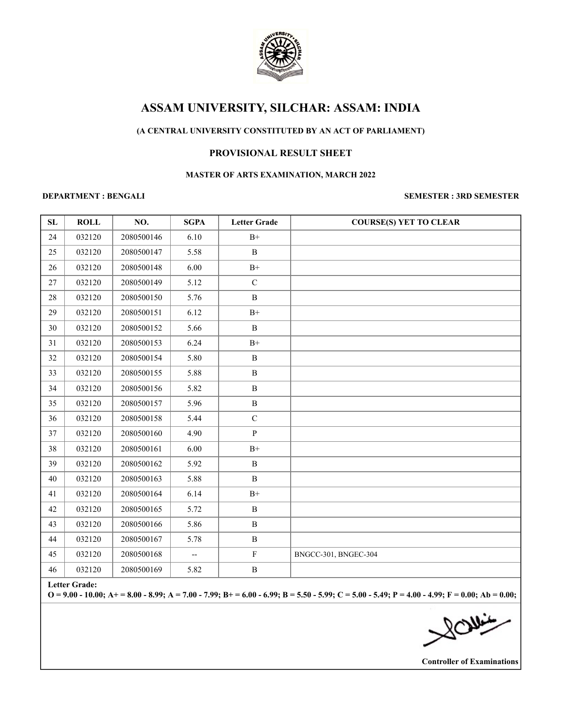

### **(A CENTRAL UNIVERSITY CONSTITUTED BY AN ACT OF PARLIAMENT)**

### **PROVISIONAL RESULT SHEET**

### **MASTER OF ARTS EXAMINATION, MARCH 2022**

### **DEPARTMENT : BENGALI SEMESTER : 3RD SEMESTER**

| SL | <b>ROLL</b>   | NO.        | <b>SGPA</b>              | <b>Letter Grade</b> | <b>COURSE(S) YET TO CLEAR</b> |
|----|---------------|------------|--------------------------|---------------------|-------------------------------|
| 24 | 032120        | 2080500146 | 6.10                     | $\rm B^+$           |                               |
| 25 | 032120        | 2080500147 | 5.58                     | $\, {\bf B}$        |                               |
| 26 | 032120        | 2080500148 | 6.00                     | $B+$                |                               |
| 27 | 032120        | 2080500149 | 5.12                     | ${\bf C}$           |                               |
| 28 | 032120        | 2080500150 | 5.76                     | $\, {\bf B}$        |                               |
| 29 | 032120        | 2080500151 | 6.12                     | $B+$                |                               |
| 30 | 032120        | 2080500152 | 5.66                     | B                   |                               |
| 31 | 032120        | 2080500153 | 6.24                     | $\mathrm{B}^{+}$    |                               |
| 32 | 032120        | 2080500154 | 5.80                     | $\, {\bf B}$        |                               |
| 33 | 032120        | 2080500155 | 5.88                     | $\, {\bf B}$        |                               |
| 34 | 032120        | 2080500156 | 5.82                     | $\, {\bf B}$        |                               |
| 35 | 032120        | 2080500157 | 5.96                     | $\, {\bf B}$        |                               |
| 36 | 032120        | 2080500158 | 5.44                     | ${\bf C}$           |                               |
| 37 | 032120        | 2080500160 | 4.90                     | $\, {\bf p}$        |                               |
| 38 | 032120        | 2080500161 | 6.00                     | $B+$                |                               |
| 39 | 032120        | 2080500162 | 5.92                     | $\, {\bf B}$        |                               |
| 40 | 032120        | 2080500163 | 5.88                     | $\, {\bf B}$        |                               |
| 41 | 032120        | 2080500164 | 6.14                     | $B+$                |                               |
| 42 | 032120        | 2080500165 | 5.72                     | $\, {\bf B}$        |                               |
| 43 | 032120        | 2080500166 | 5.86                     | $\, {\bf B}$        |                               |
| 44 | 032120        | 2080500167 | 5.78                     | $\, {\bf B}$        |                               |
| 45 | 032120        | 2080500168 | $\overline{\phantom{a}}$ | $\mathbf F$         | BNGCC-301, BNGEC-304          |
| 46 | 032120        | 2080500169 | 5.82                     | $\, {\bf B}$        |                               |
|    | Lotton Cuador |            |                          |                     |                               |

**Letter Grade:**

**O = 9.00 - 10.00; A+ = 8.00 - 8.99; A = 7.00 - 7.99; B+ = 6.00 - 6.99; B = 5.50 - 5.99; C = 5.00 - 5.49; P = 4.00 - 4.99; F = 0.00; Ab = 0.00;**

**NOW:**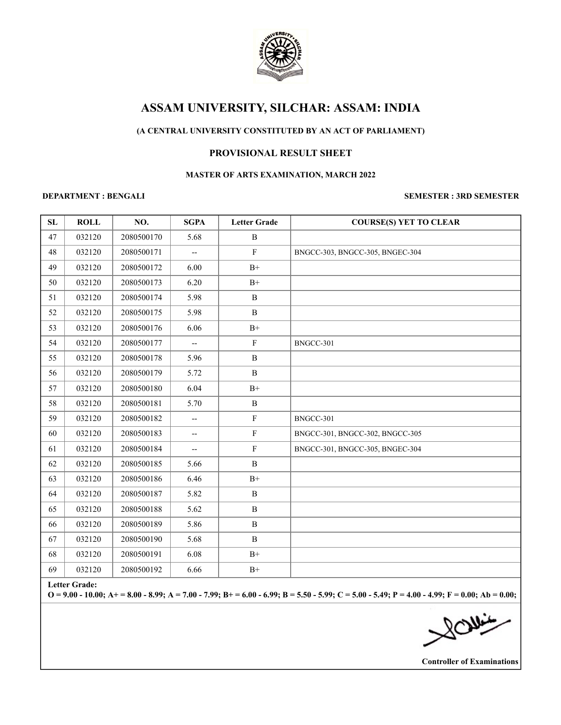

### **(A CENTRAL UNIVERSITY CONSTITUTED BY AN ACT OF PARLIAMENT)**

### **PROVISIONAL RESULT SHEET**

### **MASTER OF ARTS EXAMINATION, MARCH 2022**

### **DEPARTMENT : BENGALI SEMESTER : 3RD SEMESTER**

| SL | <b>ROLL</b>                                                                                                                                                               | NO.        | <b>SGPA</b>                       | <b>Letter Grade</b> | <b>COURSE(S) YET TO CLEAR</b>   |  |  |
|----|---------------------------------------------------------------------------------------------------------------------------------------------------------------------------|------------|-----------------------------------|---------------------|---------------------------------|--|--|
| 47 | 032120                                                                                                                                                                    | 2080500170 | 5.68                              | $\, {\bf B}$        |                                 |  |  |
| 48 | 032120                                                                                                                                                                    | 2080500171 | $\overline{\phantom{a}}$          | $\mathbf F$         | BNGCC-303, BNGCC-305, BNGEC-304 |  |  |
| 49 | 032120                                                                                                                                                                    | 2080500172 | 6.00                              | $B+$                |                                 |  |  |
| 50 | 032120                                                                                                                                                                    | 2080500173 | 6.20                              | $B+$                |                                 |  |  |
| 51 | 032120                                                                                                                                                                    | 2080500174 | 5.98                              | $\, {\bf B}$        |                                 |  |  |
| 52 | 032120                                                                                                                                                                    | 2080500175 | 5.98                              | $\, {\bf B}$        |                                 |  |  |
| 53 | 032120                                                                                                                                                                    | 2080500176 | 6.06                              | $\rm B^+$           |                                 |  |  |
| 54 | 032120                                                                                                                                                                    | 2080500177 | $\overline{\phantom{a}}$          | $\mathbf F$         | BNGCC-301                       |  |  |
| 55 | 032120                                                                                                                                                                    | 2080500178 | 5.96                              | $\, {\bf B}$        |                                 |  |  |
| 56 | 032120                                                                                                                                                                    | 2080500179 | 5.72                              | $\, {\bf B}$        |                                 |  |  |
| 57 | 032120                                                                                                                                                                    | 2080500180 | 6.04                              | $\rm B^+$           |                                 |  |  |
| 58 | 032120                                                                                                                                                                    | 2080500181 | 5.70                              | $\, {\bf B}$        |                                 |  |  |
| 59 | 032120                                                                                                                                                                    | 2080500182 | --                                | $\mathbf F$         | BNGCC-301                       |  |  |
| 60 | 032120                                                                                                                                                                    | 2080500183 | --                                | $\mathbf F$         | BNGCC-301, BNGCC-302, BNGCC-305 |  |  |
| 61 | 032120                                                                                                                                                                    | 2080500184 | $\hspace{0.05cm} \dashrightarrow$ | $\mathbf F$         | BNGCC-301, BNGCC-305, BNGEC-304 |  |  |
| 62 | 032120                                                                                                                                                                    | 2080500185 | 5.66                              | $\, {\bf B}$        |                                 |  |  |
| 63 | 032120                                                                                                                                                                    | 2080500186 | 6.46                              | $\rm B+$            |                                 |  |  |
| 64 | 032120                                                                                                                                                                    | 2080500187 | 5.82                              | B                   |                                 |  |  |
| 65 | 032120                                                                                                                                                                    | 2080500188 | 5.62                              | $\, {\bf B}$        |                                 |  |  |
| 66 | 032120                                                                                                                                                                    | 2080500189 | 5.86                              | $\, {\bf B}$        |                                 |  |  |
| 67 | 032120                                                                                                                                                                    | 2080500190 | 5.68                              | $\, {\bf B}$        |                                 |  |  |
| 68 | 032120                                                                                                                                                                    | 2080500191 | 6.08                              | $B+$                |                                 |  |  |
| 69 | 032120                                                                                                                                                                    | 2080500192 | 6.66                              | $\mathrm{B}^{+}$    |                                 |  |  |
|    | <b>Letter Grade:</b><br>$Q = 9.00 - 10.00$ ; A+ = 8.00 - 8.99; A = 7.00 - 7.99; B+ = 6.00 - 6.99; B = 5.50 - 5.99; C = 5.00 - 5.49; P = 4.00 - 4.99; F = 0.00; Ab = 0.00; |            |                                   |                     |                                 |  |  |